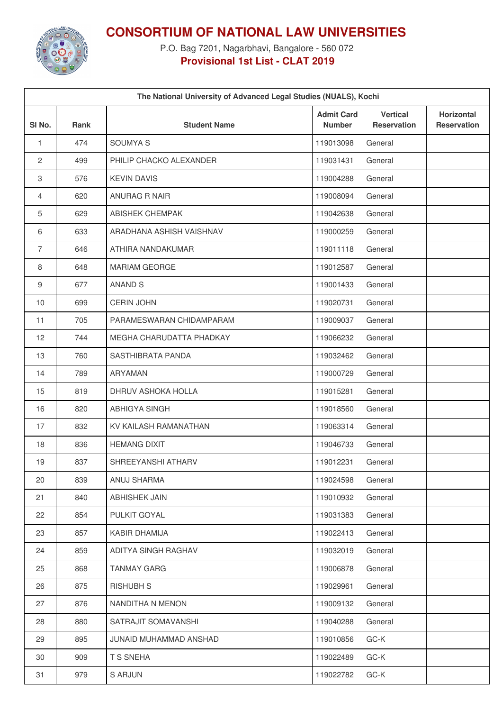

**CONSORTIUM OF NATIONAL LAW UNIVERSITIES**

P.O. Bag 7201, Nagarbhavi, Bangalore - 560 072 **Provisional 1st List - CLAT 2019**

| The National University of Advanced Legal Studies (NUALS), Kochi |      |                          |                                    |                                       |                                         |  |  |  |  |
|------------------------------------------------------------------|------|--------------------------|------------------------------------|---------------------------------------|-----------------------------------------|--|--|--|--|
| SI <sub>No.</sub>                                                | Rank | <b>Student Name</b>      | <b>Admit Card</b><br><b>Number</b> | <b>Vertical</b><br><b>Reservation</b> | <b>Horizontal</b><br><b>Reservation</b> |  |  |  |  |
| 1                                                                | 474  | <b>SOUMYAS</b>           | 119013098                          | General                               |                                         |  |  |  |  |
| 2                                                                | 499  | PHILIP CHACKO ALEXANDER  | 119031431                          | General                               |                                         |  |  |  |  |
| $\,3$                                                            | 576  | <b>KEVIN DAVIS</b>       | 119004288                          | General                               |                                         |  |  |  |  |
| 4                                                                | 620  | ANURAG R NAIR            | 119008094                          | General                               |                                         |  |  |  |  |
| 5                                                                | 629  | <b>ABISHEK CHEMPAK</b>   | 119042638                          | General                               |                                         |  |  |  |  |
| 6                                                                | 633  | ARADHANA ASHISH VAISHNAV | 119000259                          | General                               |                                         |  |  |  |  |
| $\overline{7}$                                                   | 646  | ATHIRA NANDAKUMAR        | 119011118                          | General                               |                                         |  |  |  |  |
| 8                                                                | 648  | <b>MARIAM GEORGE</b>     | 119012587                          | General                               |                                         |  |  |  |  |
| 9                                                                | 677  | ANAND S                  | 119001433                          | General                               |                                         |  |  |  |  |
| 10                                                               | 699  | <b>CERIN JOHN</b>        | 119020731                          | General                               |                                         |  |  |  |  |
| 11                                                               | 705  | PARAMESWARAN CHIDAMPARAM | 119009037                          | General                               |                                         |  |  |  |  |
| 12                                                               | 744  | MEGHA CHARUDATTA PHADKAY | 119066232                          | General                               |                                         |  |  |  |  |
| 13                                                               | 760  | SASTHIBRATA PANDA        | 119032462                          | General                               |                                         |  |  |  |  |
| 14                                                               | 789  | ARYAMAN                  | 119000729                          | General                               |                                         |  |  |  |  |
| 15                                                               | 819  | DHRUV ASHOKA HOLLA       | 119015281                          | General                               |                                         |  |  |  |  |
| 16                                                               | 820  | <b>ABHIGYA SINGH</b>     | 119018560                          | General                               |                                         |  |  |  |  |
| 17                                                               | 832  | KV KAILASH RAMANATHAN    | 119063314                          | General                               |                                         |  |  |  |  |
| 18                                                               | 836  | <b>HEMANG DIXIT</b>      | 119046733                          | General                               |                                         |  |  |  |  |
| 19                                                               | 837  | SHREEYANSHI ATHARV       | 119012231                          | General                               |                                         |  |  |  |  |
| 20                                                               | 839  | ANUJ SHARMA              | 119024598                          | General                               |                                         |  |  |  |  |
| 21                                                               | 840  | ABHISHEK JAIN            | 119010932                          | General                               |                                         |  |  |  |  |
| 22                                                               | 854  | PULKIT GOYAL             | 119031383                          | General                               |                                         |  |  |  |  |
| 23                                                               | 857  | KABIR DHAMIJA            | 119022413                          | General                               |                                         |  |  |  |  |
| 24                                                               | 859  | ADITYA SINGH RAGHAV      | 119032019                          | General                               |                                         |  |  |  |  |
| 25                                                               | 868  | <b>TANMAY GARG</b>       | 119006878                          | General                               |                                         |  |  |  |  |
| 26                                                               | 875  | <b>RISHUBH S</b>         | 119029961                          | General                               |                                         |  |  |  |  |
| 27                                                               | 876  | NANDITHA N MENON         | 119009132                          | General                               |                                         |  |  |  |  |
| 28                                                               | 880  | SATRAJIT SOMAVANSHI      | 119040288                          | General                               |                                         |  |  |  |  |
| 29                                                               | 895  | JUNAID MUHAMMAD ANSHAD   | 119010856                          | GC-K                                  |                                         |  |  |  |  |
| 30                                                               | 909  | T S SNEHA                | 119022489                          | GC-K                                  |                                         |  |  |  |  |
| 31                                                               | 979  | <b>S ARJUN</b>           | 119022782                          | GC-K                                  |                                         |  |  |  |  |